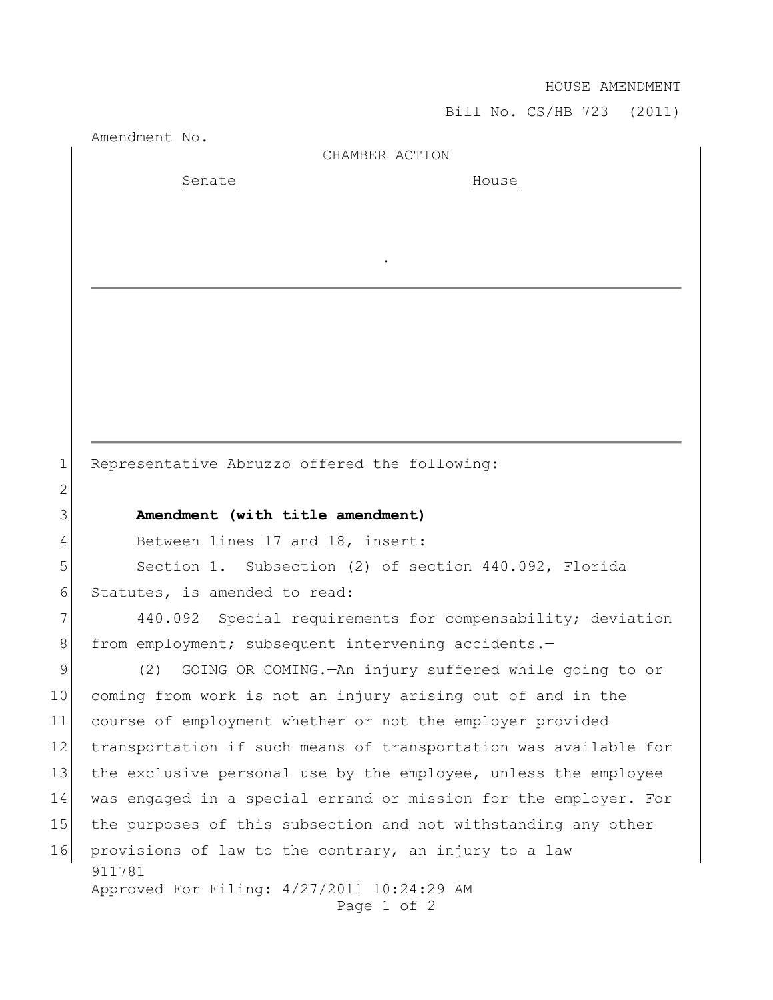## HOUSE AMENDMENT

Bill No. CS/HB 723 (2011)

Amendment No.

## CHAMBER ACTION

.

Senate House

1 Representative Abruzzo offered the following:

## 3 **Amendment (with title amendment)**

4 Between lines 17 and 18, insert:

5 Section 1. Subsection (2) of section 440.092, Florida 6 Statutes, is amended to read:

7 440.092 Special requirements for compensability; deviation 8 from employment; subsequent intervening accidents.-

911781 Approved For Filing: 4/27/2011 10:24:29 AM Page 1 of 2 9 (2) GOING OR COMING.—An injury suffered while going to or 10 coming from work is not an injury arising out of and in the 11 course of employment whether or not the employer provided 12 transportation if such means of transportation was available for 13 the exclusive personal use by the employee, unless the employee 14 was engaged in a special errand or mission for the employer. For 15 the purposes of this subsection and not withstanding any other 16 provisions of law to the contrary, an injury to a law

2